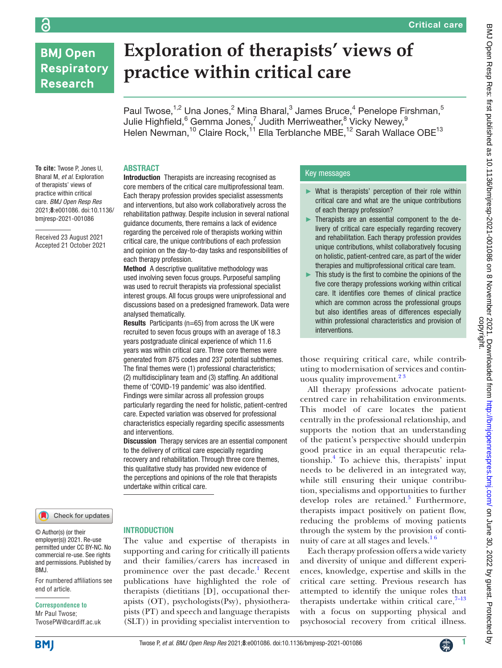## **BMJ Open Respiratory Research**

ခြ

# **Exploration of therapists' views of practice within critical care**

Paul Twose,<sup>1,2</sup> Una Jones,<sup>2</sup> Mina Bharal,<sup>3</sup> James Bruce,<sup>4</sup> Penelope Firshman,<sup>5</sup> Julie Highfield, $^6$  Gemma Jones, $^7$  Judith Merriweather, $^8$  Vicky Newey, $^9$ Helen Newman,<sup>10</sup> Claire Rock,<sup>11</sup> Ella Terblanche MBE,<sup>12</sup> Sarah Wallace OBE<sup>13</sup>

#### **To cite:** Twose P, Jones U, Bharal M, *et al*. Exploration of therapists' views of practice within critical care. *BMJ Open Resp Res* 2021;**8**:e001086. doi:10.1136/ bmjresp-2021-001086

Received 23 August 2021 Accepted 21 October 2021

## **ABSTRACT**

Introduction Therapists are increasing recognised as core members of the critical care multiprofessional team. Each therapy profession provides specialist assessments and interventions, but also work collaboratively across the rehabilitation pathway. Despite inclusion in several national guidance documents, there remains a lack of evidence regarding the perceived role of therapists working within critical care, the unique contributions of each profession and opinion on the day-to-day tasks and responsibilities of each therapy profession.

Method A descriptive qualitative methodology was used involving seven focus groups. Purposeful sampling was used to recruit therapists via professional specialist interest groups. All focus groups were uniprofessional and discussions based on a predesigned framework. Data were analysed thematically.

Results Participants (n=65) from across the UK were recruited to seven focus groups with an average of 18.3 years postgraduate clinical experience of which 11.6 years was within critical care. Three core themes were generated from 875 codes and 237 potential subthemes. The final themes were (1) professional characteristics; (2) multidisciplinary team and (3) staffing. An additional theme of 'COVID-19 pandemic' was also identified. Findings were similar across all profession groups particularly regarding the need for holistic, patient-centred care. Expected variation was observed for professional characteristics especially regarding specific assessments and interventions.

Discussion Therapy services are an essential component to the delivery of critical care especially regarding recovery and rehabilitation. Through three core themes, this qualitative study has provided new evidence of the perceptions and opinions of the role that therapists undertake within critical care.

## Check for updates

© Author(s) (or their employer(s)) 2021. Re-use permitted under CC BY-NC. No commercial re-use. See rights and permissions. Published by BMJ.

For numbered affiliations see end of article.

#### **Correspondence to**

Mr Paul Twose; TwosePW@cardiff.ac.uk

#### **INTRODUCTION**

The value and expertise of therapists in supporting and caring for critically ill patients and their families/carers has increased in prominence over the past decade.<sup>[1](#page-7-0)</sup> Recent publications have highlighted the role of therapists (dietitians [D], occupational therapists (OT), psychologists(Psy), physiotherapists (PT) and speech and language therapists (SLT)) in providing specialist intervention to

### Key messages

- ► What is therapists' perception of their role within critical care and what are the unique contributions of each therapy profession?
- Therapists are an essential component to the delivery of critical care especially regarding recovery and rehabilitation. Each therapy profession provides unique contributions, whilst collaboratively focusing on holistic, patient-centred care, as part of the wider therapies and multiprofessional critical care team.
- ► This study is the first to combine the opinions of the five core therapy professions working within critical care. It identifies core themes of clinical practice which are common across the professional groups but also identifies areas of differences especially within professional characteristics and provision of interventions.

those requiring critical care, while contributing to modernisation of services and continuous quality improvement. $2<sup>3</sup>$ 

All therapy professions advocate patientcentred care in rehabilitation environments. This model of care locates the patient centrally in the professional relationship, and supports the notion that an understanding of the patient's perspective should underpin good practice in an equal therapeutic relationship.[4](#page-7-2) To achieve this, therapists' input needs to be delivered in an integrated way, while still ensuring their unique contribution, specialisms and opportunities to further develop roles are retained.<sup>5</sup> Furthermore, therapists impact positively on patient flow, reducing the problems of moving patients through the system by the provision of continuity of care at all stages and levels. $16$ 

Each therapy profession offers a wide variety and diversity of unique and different experiences, knowledge, expertise and skills in the critical care setting. Previous research has attempted to identify the unique roles that therapists undertake within critical care, $7-13$ with a focus on supporting physical and psychosocial recovery from critical illness.



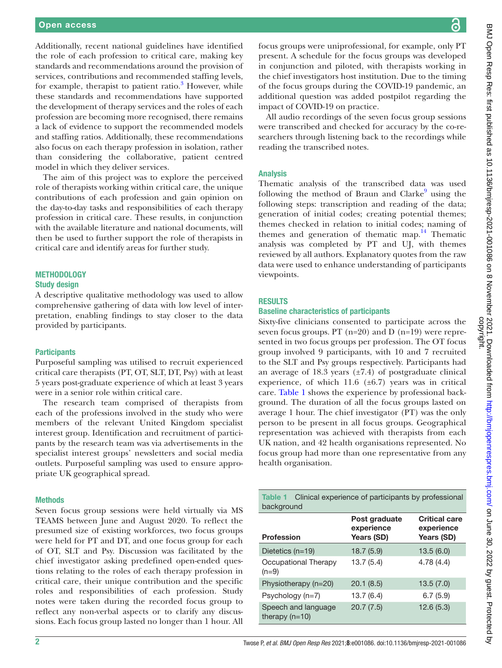Additionally, recent national guidelines have identified the role of each profession to critical care, making key standards and recommendations around the provision of services, contributions and recommended staffing levels, for example, therapist to patient ratio.<sup>3</sup> However, while these standards and recommendations have supported the development of therapy services and the roles of each profession are becoming more recognised, there remains a lack of evidence to support the recommended models and staffing ratios. Additionally, these recommendations also focus on each therapy profession in isolation, rather than considering the collaborative, patient centred model in which they deliver services.

The aim of this project was to explore the perceived role of therapists working within critical care, the unique contributions of each profession and gain opinion on the day-to-day tasks and responsibilities of each therapy profession in critical care. These results, in conjunction with the available literature and national documents, will then be used to further support the role of therapists in critical care and identify areas for further study.

## METHODOLOGY

#### Study design

A descriptive qualitative methodology was used to allow comprehensive gathering of data with low level of interpretation, enabling findings to stay closer to the data provided by participants.

#### **Participants**

Purposeful sampling was utilised to recruit experienced critical care therapists (PT, OT, SLT, DT, Psy) with at least 5 years post-graduate experience of which at least 3 years were in a senior role within critical care.

The research team comprised of therapists from each of the professions involved in the study who were members of the relevant United Kingdom specialist interest group. Identification and recruitment of participants by the research team was via advertisements in the specialist interest groups' newsletters and social media outlets. Purposeful sampling was used to ensure appropriate UK geographical spread.

#### Methods

Seven focus group sessions were held virtually via MS TEAMS between June and August 2020. To reflect the presumed size of existing workforces, two focus groups were held for PT and DT, and one focus group for each of OT, SLT and Psy. Discussion was facilitated by the chief investigator asking predefined open-ended questions relating to the roles of each therapy profession in critical care, their unique contribution and the specific roles and responsibilities of each profession. Study notes were taken during the recorded focus group to reflect any non-verbal aspects or to clarify any discussions. Each focus group lasted no longer than 1 hour. All

ζą

focus groups were uniprofessional, for example, only PT present. A schedule for the focus groups was developed in conjunction and piloted, with therapists working in the chief investigators host institution. Due to the timing of the focus groups during the COVID-19 pandemic, an additional question was added postpilot regarding the impact of COVID-19 on practice.

All audio recordings of the seven focus group sessions were transcribed and checked for accuracy by the co-researchers through listening back to the recordings while reading the transcribed notes.

#### Analysis

Thematic analysis of the transcribed data was used following the method of Braun and Clarke<sup>[9](#page-7-6)</sup> using the following steps: transcription and reading of the data; generation of initial codes; creating potential themes; themes checked in relation to initial codes; naming of themes and generation of thematic map.<sup>[14](#page-7-7)</sup> Thematic analysis was completed by PT and UJ, with themes reviewed by all authors. Explanatory quotes from the raw data were used to enhance understanding of participants viewpoints.

#### **RESULTS**

#### Baseline characteristics of participants

Sixty-five clinicians consented to participate across the seven focus groups. PT (n=20) and D (n=19) were represented in two focus groups per profession. The OT focus group involved 9 participants, with 10 and 7 recruited to the SLT and Psy groups respectively. Participants had an average of 18.3 years  $(\pm 7.4)$  of postgraduate clinical experience, of which  $11.6$  ( $\pm 6.7$ ) years was in critical care. [Table](#page-1-0) 1 shows the experience by professional background. The duration of all the focus groups lasted on average 1 hour. The chief investigator (PT) was the only person to be present in all focus groups. Geographical representation was achieved with therapists from each UK nation, and 42 health organisations represented. No focus group had more than one representative from any health organisation.

<span id="page-1-0"></span>

| Clinical experience of participants by professional<br><b>Table 1</b><br>background |                                           |                                                  |  |  |  |  |
|-------------------------------------------------------------------------------------|-------------------------------------------|--------------------------------------------------|--|--|--|--|
| <b>Profession</b>                                                                   | Post graduate<br>experience<br>Years (SD) | <b>Critical care</b><br>experience<br>Years (SD) |  |  |  |  |
| Dietetics (n=19)                                                                    | 18.7(5.9)                                 | 13.5(6.0)                                        |  |  |  |  |
| Occupational Therapy<br>$(n=9)$                                                     | 13.7(5.4)                                 | 4.78(4.4)                                        |  |  |  |  |
| Physiotherapy (n=20)                                                                | 20.1(8.5)                                 | 13.5(7.0)                                        |  |  |  |  |
| $P$ sychology (n=7)                                                                 | 13.7 (6.4)                                | 6.7(5.9)                                         |  |  |  |  |
| Speech and language<br>therapy $(n=10)$                                             | 20.7(7.5)                                 | 12.6(5.3)                                        |  |  |  |  |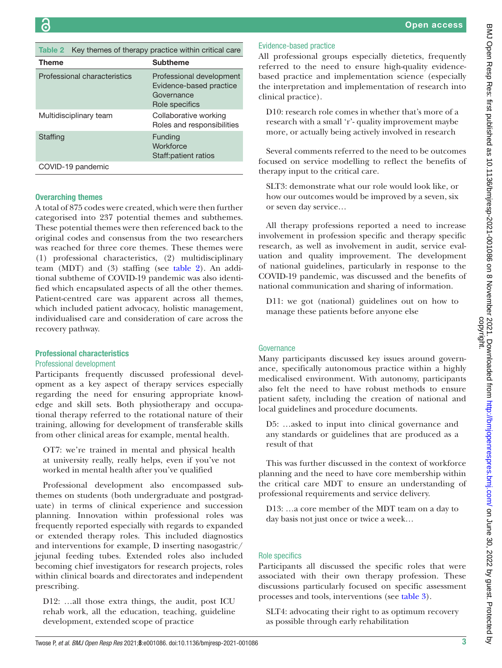<span id="page-2-0"></span>Table 2 Key themes of therapy practice within critical care

| <b>Theme</b>                 | <b>Subtheme</b>                                                                     |
|------------------------------|-------------------------------------------------------------------------------------|
| Professional characteristics | Professional development<br>Evidence-based practice<br>Governance<br>Role specifics |
| Multidisciplinary team       | Collaborative working<br>Roles and responsibilities                                 |
| Staffing                     | Funding<br>Workforce<br>Staff: patient ratios                                       |
| COVID-19 pandemic            |                                                                                     |

## Overarching themes

A total of 875 codes were created, which were then further categorised into 237 potential themes and subthemes. These potential themes were then referenced back to the original codes and consensus from the two researchers was reached for three core themes. These themes were (1) professional characteristics, (2) multidisciplinary team (MDT) and (3) staffing (see [table](#page-2-0) 2). An additional subtheme of COVID-19 pandemic was also identified which encapsulated aspects of all the other themes. Patient-centred care was apparent across all themes, which included patient advocacy, holistic management, individualised care and consideration of care across the recovery pathway.

## Professional characteristics

## Professional development

Participants frequently discussed professional development as a key aspect of therapy services especially regarding the need for ensuring appropriate knowledge and skill sets. Both physiotherapy and occupational therapy referred to the rotational nature of their training, allowing for development of transferable skills from other clinical areas for example, mental health.

OT7: we're trained in mental and physical health at university really, really helps, even if you've not worked in mental health after you've qualified

Professional development also encompassed subthemes on students (both undergraduate and postgraduate) in terms of clinical experience and succession planning. Innovation within professional roles was frequently reported especially with regards to expanded or extended therapy roles. This included diagnostics and interventions for example, D inserting nasogastric/ jejunal feeding tubes. Extended roles also included becoming chief investigators for research projects, roles within clinical boards and directorates and independent prescribing.

D12: …all those extra things, the audit, post ICU rehab work, all the education, teaching, guideline development, extended scope of practice

## Evidence-based practice

All professional groups especially dietetics, frequently referred to the need to ensure high-quality evidencebased practice and implementation science (especially the interpretation and implementation of research into clinical practice).

D10: research role comes in whether that's more of a research with a small 'r'- quality improvement maybe more, or actually being actively involved in research

Several comments referred to the need to be outcomes focused on service modelling to reflect the benefits of therapy input to the critical care.

SLT3: demonstrate what our role would look like, or how our outcomes would be improved by a seven, six or seven day service…

All therapy professions reported a need to increase involvement in profession specific and therapy specific research, as well as involvement in audit, service evaluation and quality improvement. The development of national guidelines, particularly in response to the COVID-19 pandemic, was discussed and the benefits of national communication and sharing of information.

D11: we got (national) guidelines out on how to manage these patients before anyone else

## **Governance**

Many participants discussed key issues around governance, specifically autonomous practice within a highly medicalised environment. With autonomy, participants also felt the need to have robust methods to ensure patient safety, including the creation of national and local guidelines and procedure documents.

D5: …asked to input into clinical governance and any standards or guidelines that are produced as a result of that

This was further discussed in the context of workforce planning and the need to have core membership within the critical care MDT to ensure an understanding of professional requirements and service delivery.

D13: …a core member of the MDT team on a day to day basis not just once or twice a week…

## Role specifics

Participants all discussed the specific roles that were associated with their own therapy profession. These discussions particularly focused on specific assessment processes and tools, interventions (see [table](#page-3-0) 3).

SLT4: advocating their right to as optimum recovery as possible through early rehabilitation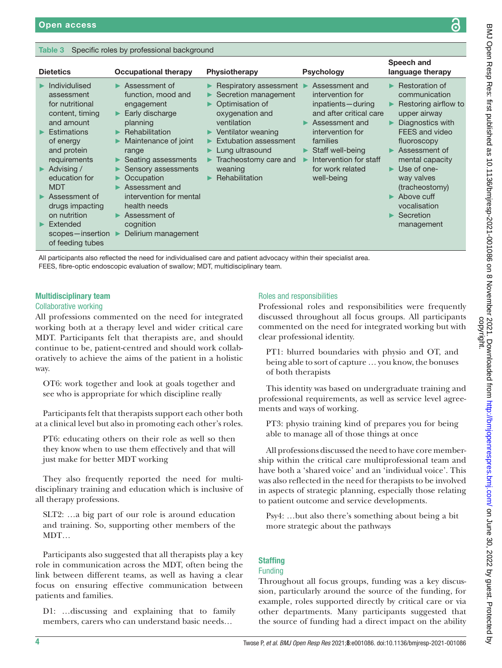### <span id="page-3-0"></span>Table 3 Specific roles by professional background

| <b>Dietetics</b>                                                                | <b>Occupational therapy</b>                                                      | Physiotherapy                                                                                                | <b>Psychology</b>                                                                                    | Speech and<br>language therapy                                                                                    |
|---------------------------------------------------------------------------------|----------------------------------------------------------------------------------|--------------------------------------------------------------------------------------------------------------|------------------------------------------------------------------------------------------------------|-------------------------------------------------------------------------------------------------------------------|
| Individulised<br>assessment<br>for nutritional<br>content, timing<br>and amount | Assessment of<br>function, mood and<br>engagement<br>Early discharge<br>planning | <b>Respiratory assessment</b> ■<br>Secretion management<br>Optimisation of<br>oxygenation and<br>ventilation | Assessment and<br>intervention for<br>inpatients-during<br>and after critical care<br>Assessment and | $\blacktriangleright$ Restoration of<br>communication<br>Restoring airflow to<br>upper airway<br>Diagnostics with |
| Estimations<br>of energy<br>and protein<br>requirements                         | Rehabilitation<br>Maintenance of joint<br>range<br>Seating assessments           | Ventilator weaning<br>Extubation assessment<br>Lung ultrasound<br>Tracheostomy care and                      | intervention for<br>families<br>Staff well-being<br>Intervention for staff                           | FEES and video<br>fluoroscopy<br>Assessment of<br>mental capacity                                                 |
| Advising /<br>education for<br><b>MDT</b>                                       | Sensory assessments<br>Occupation<br>Assessment and                              | weaning<br><b>Rehabilitation</b>                                                                             | for work related<br>well-being                                                                       | $\blacktriangleright$ Use of one-<br>way valves<br>(tracheostomy)                                                 |
| Assessment of<br>drugs impacting<br>on nutrition                                | intervention for mental<br>health needs<br>Assessment of                         |                                                                                                              |                                                                                                      | Above cuff<br>vocalisation<br>Secretion                                                                           |
| Extended<br>scopes-insertion<br>of feeding tubes                                | cognition<br>Delirium management                                                 |                                                                                                              |                                                                                                      | management                                                                                                        |

All participants also reflected the need for individualised care and patient advocacy within their specialist area.

FEES, fibre-optic endoscopic evaluation of swallow; MDT, multidisciplinary team.

## Multidisciplinary team

#### Collaborative working

All professions commented on the need for integrated working both at a therapy level and wider critical care MDT. Participants felt that therapists are, and should continue to be, patient-centred and should work collaboratively to achieve the aims of the patient in a holistic way.

OT6: work together and look at goals together and see who is appropriate for which discipline really

Participants felt that therapists support each other both at a clinical level but also in promoting each other's roles.

PT6: educating others on their role as well so then they know when to use them effectively and that will just make for better MDT working

They also frequently reported the need for multidisciplinary training and education which is inclusive of all therapy professions.

SLT2: …a big part of our role is around education and training. So, supporting other members of the MDT…

Participants also suggested that all therapists play a key role in communication across the MDT, often being the link between different teams, as well as having a clear focus on ensuring effective communication between patients and families.

D1: …discussing and explaining that to family members, carers who can understand basic needs…

### Roles and responsibilities

Professional roles and responsibilities were frequently discussed throughout all focus groups. All participants commented on the need for integrated working but with clear professional identity.

PT1: blurred boundaries with physio and OT, and being able to sort of capture … you know, the bonuses of both therapists

This identity was based on undergraduate training and professional requirements, as well as service level agreements and ways of working.

PT3: physio training kind of prepares you for being able to manage all of those things at once

All professions discussed the need to have core membership within the critical care multiprofessional team and have both a 'shared voice' and an 'individual voice'. This was also reflected in the need for therapists to be involved in aspects of strategic planning, especially those relating to patient outcome and service developments.

Psy4: …but also there's something about being a bit more strategic about the pathways

## **Staffing**

## Funding

Throughout all focus groups, funding was a key discussion, particularly around the source of the funding, for example, roles supported directly by critical care or via other departments. Many participants suggested that the source of funding had a direct impact on the ability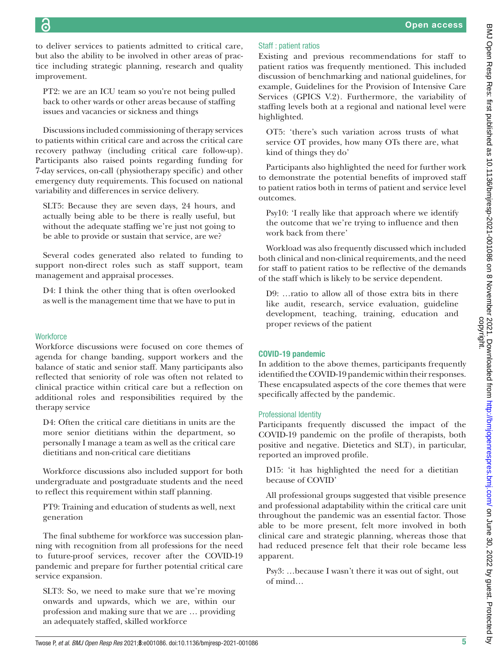to deliver services to patients admitted to critical care, but also the ability to be involved in other areas of practice including strategic planning, research and quality improvement.

PT2: we are an ICU team so you're not being pulled back to other wards or other areas because of staffing issues and vacancies or sickness and things

Discussions included commissioning of therapy services to patients within critical care and across the critical care recovery pathway (including critical care follow-up). Participants also raised points regarding funding for 7-day services, on-call (physiotherapy specific) and other emergency duty requirements. This focused on national variability and differences in service delivery.

SLT5: Because they are seven days, 24 hours, and actually being able to be there is really useful, but without the adequate staffing we're just not going to be able to provide or sustain that service, are we?

Several codes generated also related to funding to support non-direct roles such as staff support, team management and appraisal processes.

D4: I think the other thing that is often overlooked as well is the management time that we have to put in

## **Workforce**

Workforce discussions were focused on core themes of agenda for change banding, support workers and the balance of static and senior staff. Many participants also reflected that seniority of role was often not related to clinical practice within critical care but a reflection on additional roles and responsibilities required by the therapy service

D4: Often the critical care dietitians in units are the more senior dietitians within the department, so personally I manage a team as well as the critical care dietitians and non-critical care dietitians

Workforce discussions also included support for both undergraduate and postgraduate students and the need to reflect this requirement within staff planning.

PT9: Training and education of students as well, next generation

The final subtheme for workforce was succession planning with recognition from all professions for the need to future-proof services, recover after the COVID-19 pandemic and prepare for further potential critical care service expansion.

SLT3: So, we need to make sure that we're moving onwards and upwards, which we are, within our profession and making sure that we are … providing an adequately staffed, skilled workforce

## Staff : patient ratios

Existing and previous recommendations for staff to patient ratios was frequently mentioned. This included discussion of benchmarking and national guidelines, for example, Guidelines for the Provision of Intensive Care Services (GPICS V.2). Furthermore, the variability of staffing levels both at a regional and national level were highlighted.

OT5: 'there's such variation across trusts of what service OT provides, how many OTs there are, what kind of things they do'

Participants also highlighted the need for further work to demonstrate the potential benefits of improved staff to patient ratios both in terms of patient and service level outcomes.

Psy10: 'I really like that approach where we identify the outcome that we're trying to influence and then work back from there'

Workload was also frequently discussed which included both clinical and non-clinical requirements, and the need for staff to patient ratios to be reflective of the demands of the staff which is likely to be service dependent.

D9: …ratio to allow all of those extra bits in there like audit, research, service evaluation, guideline development, teaching, training, education and proper reviews of the patient

## COVID-19 pandemic

In addition to the above themes, participants frequently identified the COVID-19 pandemic within their responses. These encapsulated aspects of the core themes that were specifically affected by the pandemic.

## Professional Identity

Participants frequently discussed the impact of the COVID-19 pandemic on the profile of therapists, both positive and negative. Dietetics and SLT), in particular, reported an improved profile.

D15: 'it has highlighted the need for a dietitian because of COVID'

All professional groups suggested that visible presence and professional adaptability within the critical care unit throughout the pandemic was an essential factor. Those able to be more present, felt more involved in both clinical care and strategic planning, whereas those that had reduced presence felt that their role became less apparent.

Psy3: …because I wasn't there it was out of sight, out of mind…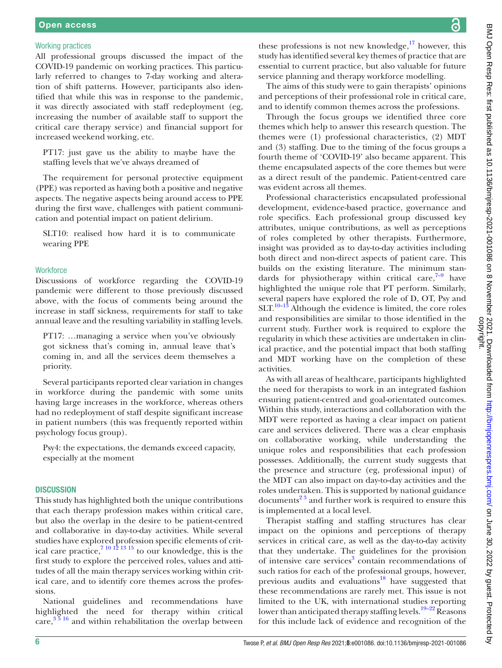#### Working practices

All professional groups discussed the impact of the COVID-19 pandemic on working practices. This particularly referred to changes to 7-day working and alteration of shift patterns. However, participants also identified that while this was in response to the pandemic, it was directly associated with staff redeployment (eg, increasing the number of available staff to support the critical care therapy service) and financial support for increased weekend working, etc.

PT17: just gave us the ability to maybe have the staffing levels that we've always dreamed of

The requirement for personal protective equipment (PPE) was reported as having both a positive and negative aspects. The negative aspects being around access to PPE during the first wave, challenges with patient communication and potential impact on patient delirium.

SLT10: realised how hard it is to communicate wearing PPE

#### **Workforce**

Discussions of workforce regarding the COVID-19 pandemic were different to those previously discussed above, with the focus of comments being around the increase in staff sickness, requirements for staff to take annual leave and the resulting variability in staffing levels.

PT17: …managing a service when you've obviously got sickness that's coming in, annual leave that's coming in, and all the services deem themselves a priority.

Several participants reported clear variation in changes in workforce during the pandemic with some units having large increases in the workforce, whereas others had no redeployment of staff despite significant increase in patient numbers (this was frequently reported within psychology focus group).

Psy4: the expectations, the demands exceed capacity, especially at the moment

#### **DISCUSSION**

This study has highlighted both the unique contributions that each therapy profession makes within critical care, but also the overlap in the desire to be patient-centred and collaborative in day-to-day activities. While several studies have explored profession specific elements of critical care practice,  $7^{10}$   $^{12}$   $^{13}$   $^{15}$  to our knowledge, this is the first study to explore the perceived roles, values and attitudes of all the main therapy services working within critical care, and to identify core themes across the professions.

National guidelines and recommendations have highlighted the need for therapy within critical care,  $3\frac{5}{16}$  and within rehabilitation the overlap between these professions is not new knowledge, $17$  however, this study has identified several key themes of practice that are essential to current practice, but also valuable for future service planning and therapy workforce modelling.

The aims of this study were to gain therapists' opinions and perceptions of their professional role in critical care, and to identify common themes across the professions.

Through the focus groups we identified three core themes which help to answer this research question. The themes were (1) professional characteristics, (2) MDT and (3) staffing. Due to the timing of the focus groups a fourth theme of 'COVID-19' also became apparent. This theme encapsulated aspects of the core themes but were as a direct result of the pandemic. Patient-centred care was evident across all themes.

Professional characteristics encapsulated professional development, evidence-based practice, governance and role specifics. Each professional group discussed key attributes, unique contributions, as well as perceptions of roles completed by other therapists. Furthermore, insight was provided as to day-to-day activities including both direct and non-direct aspects of patient care. This builds on the existing literature. The minimum standards for physiotherapy within critical care, $7-9$  have highlighted the unique role that PT perform. Similarly, several papers have explored the role of D, OT, Psy and  $SLT$ <sup>10–13</sup> Although the evidence is limited, the core roles and responsibilities are similar to those identified in the current study. Further work is required to explore the regularity in which these activities are undertaken in clinical practice, and the potential impact that both staffing and MDT working have on the completion of these activities.

As with all areas of healthcare, participants highlighted the need for therapists to work in an integrated fashion ensuring patient-centred and goal-orientated outcomes. Within this study, interactions and collaboration with the MDT were reported as having a clear impact on patient care and services delivered. There was a clear emphasis on collaborative working, while understanding the unique roles and responsibilities that each profession possesses. Additionally, the current study suggests that the presence and structure (eg, professional input) of the MDT can also impact on day-to-day activities and the roles undertaken. This is supported by national guidance documents<sup>23</sup> and further work is required to ensure this is implemented at a local level.

Therapist staffing and staffing structures has clear impact on the opinions and perceptions of therapy services in critical care, as well as the day-to-day activity that they undertake. The guidelines for the provision of intensive care services<sup>3</sup> contain recommendations of such ratios for each of the professional groups, however, previous audits and evaluations<sup>18</sup> have suggested that these recommendations are rarely met. This issue is not limited to the UK, with international studies reporting lower than anticipated therapy staffing levels.<sup>19–22</sup> Reasons</sup> for this include lack of evidence and recognition of the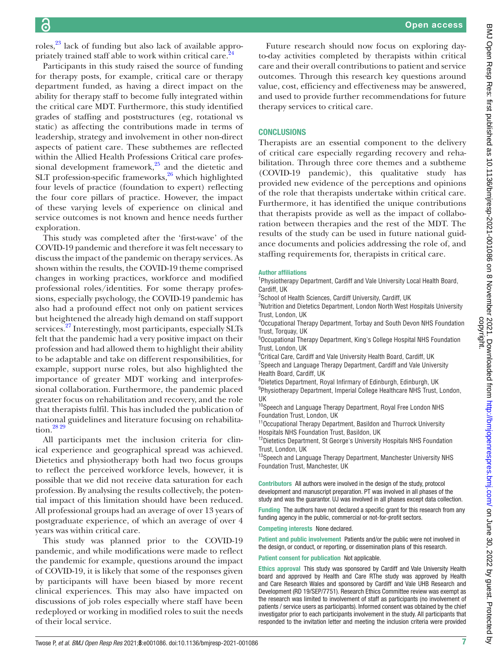roles,<sup>[23](#page-7-12)</sup> lack of funding but also lack of available appropriately trained staff able to work within critical care.<sup>24</sup>

Participants in this study raised the source of funding for therapy posts, for example, critical care or therapy department funded, as having a direct impact on the ability for therapy staff to become fully integrated within the critical care MDT. Furthermore, this study identified grades of staffing and poststructures (eg, rotational vs static) as affecting the contributions made in terms of leadership, strategy and involvement in other non-direct aspects of patient care. These subthemes are reflected within the Allied Health Professions Critical care professional development framework, $25$  and the dietetic and SLT profession-specific frameworks, $26$  which highlighted four levels of practice (foundation to expert) reflecting the four core pillars of practice. However, the impact of these varying levels of experience on clinical and service outcomes is not known and hence needs further exploration.

This study was completed after the 'first-wave' of the COVID-19 pandemic and therefore it was felt necessary to discuss the impact of the pandemic on therapy services. As shown within the results, the COVID-19 theme comprised changes in working practices, workforce and modified professional roles/identities. For some therapy professions, especially psychology, the COVID-19 pandemic has also had a profound effect not only on patient services but heightened the already high demand on staff support services.<sup>27</sup> Interestingly, most participants, especially SLTs felt that the pandemic had a very positive impact on their profession and had allowed them to highlight their ability to be adaptable and take on different responsibilities, for example, support nurse roles, but also highlighted the importance of greater MDT working and interprofessional collaboration. Furthermore, the pandemic placed greater focus on rehabilitation and recovery, and the role that therapists fulfil. This has included the publication of national guidelines and literature focusing on rehabilitation[.28 29](#page-7-17)

All participants met the inclusion criteria for clinical experience and geographical spread was achieved. Dietetics and physiotherapy both had two focus groups to reflect the perceived workforce levels, however, it is possible that we did not receive data saturation for each profession. By analysing the results collectively, the potential impact of this limitation should have been reduced. All professional groups had an average of over 13 years of postgraduate experience, of which an average of over 4 years was within critical care.

This study was planned prior to the COVID-19 pandemic, and while modifications were made to reflect the pandemic for example, questions around the impact of COVID-19, it is likely that some of the responses given by participants will have been biased by more recent clinical experiences. This may also have impacted on discussions of job roles especially where staff have been redeployed or working in modified roles to suit the needs of their local service.

BMJ Open Resp Res: first published as 10.1136/bmjresp-2021-001086 on 8 November 2021. Downloaded from http://bmjopenrespres.bmj.com/ on June 30, 2022 by guest. Protected by<br>copyright. BMJ Open Resp Res: first published as 10.1136/bmjresp-2021-001086 on 8 November 2021. Downloaded from bublishmjopenrespres.bmj.com/ on June 30, 2022 by guest. Protected by

Future research should now focus on exploring dayto-day activities completed by therapists within critical care and their overall contributions to patient and service outcomes. Through this research key questions around value, cost, efficiency and effectiveness may be answered, and used to provide further recommendations for future therapy services to critical care.

## **CONCLUSIONS**

Therapists are an essential component to the delivery of critical care especially regarding recovery and rehabilitation. Through three core themes and a subtheme (COVID-19 pandemic), this qualitative study has provided new evidence of the perceptions and opinions of the role that therapists undertake within critical care. Furthermore, it has identified the unique contributions that therapists provide as well as the impact of collaboration between therapies and the rest of the MDT. The results of the study can be used in future national guidance documents and policies addressing the role of, and staffing requirements for, therapists in critical care.

#### Author affiliations

<sup>1</sup>Physiotherapy Department, Cardiff and Vale University Local Health Board, Cardiff, UK

<sup>2</sup>School of Health Sciences, Cardiff University, Cardiff, UK

<sup>3</sup>Nutrition and Dietetics Department, London North West Hospitals University Trust, London, UK

4 Occupational Therapy Department, Torbay and South Devon NHS Foundation Trust, Torquay, UK

5 Occupational Therapy Department, King's College Hospital NHS Foundation Trust, London, UK

<sup>6</sup>Critical Care, Cardiff and Vale University Health Board, Cardiff, UK

<sup>7</sup> Speech and Language Therapy Department, Cardiff and Vale University Health Board, Cardiff, UK

8 Dietetics Department, Royal Infirmary of Edinburgh, Edinburgh, UK <sup>9</sup>Physiotherapy Department, Imperial College Healthcare NHS Trust, London, UK

<sup>10</sup>Speech and Language Therapy Department, Royal Free London NHS Foundation Trust, London, UK

<sup>11</sup> Occupational Therapy Department, Basildon and Thurrock University Hospitals NHS Foundation Trust, Basildon, UK

<sup>12</sup>Dietetics Department, St George's University Hospitals NHS Foundation Trust, London, UK

13Speech and Language Therapy Department, Manchester University NHS Foundation Trust, Manchester, UK

Contributors All authors were involved in the design of the study, protocol development and manuscript preparation. PT was involved in all phases of the study and was the guarantor. UJ was involved in all phases except data collection.

Funding The authors have not declared a specific grant for this research from any funding agency in the public, commercial or not-for-profit sectors.

Competing interests None declared.

Patient and public involvement Patients and/or the public were not involved in the design, or conduct, or reporting, or dissemination plans of this research.

Patient consent for publication Not applicable.

Ethics approval This study was sponsored by Cardiff and Vale University Health board and approved by Health and Care RThe study was approved by Health and Care Research Wales and sponsored by Cardiff and Vale UHB Research and Development (RD 19/SEP/7751). Research Ethics Committee review was exempt as the research was limited to involvement of staff as participants (no involvement of patients / service users as participants). Informed consent was obtained by the chief investigator prior to each participants involvement in the study. All participants that responded to the invitation letter and meeting the inclusion criteria were provided